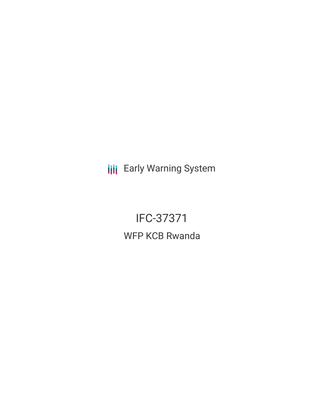**III** Early Warning System

IFC-37371 WFP KCB Rwanda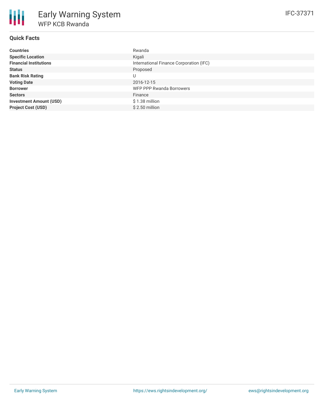## **Quick Facts**

| <b>Countries</b>               | Rwanda                                  |
|--------------------------------|-----------------------------------------|
| <b>Specific Location</b>       | Kigali                                  |
| <b>Financial Institutions</b>  | International Finance Corporation (IFC) |
| <b>Status</b>                  | Proposed                                |
| <b>Bank Risk Rating</b>        | U                                       |
| <b>Voting Date</b>             | 2016-12-15                              |
| <b>Borrower</b>                | WFP PPP Rwanda Borrowers                |
| <b>Sectors</b>                 | Finance                                 |
| <b>Investment Amount (USD)</b> | \$1.38 million                          |
| <b>Project Cost (USD)</b>      | $$2.50$ million                         |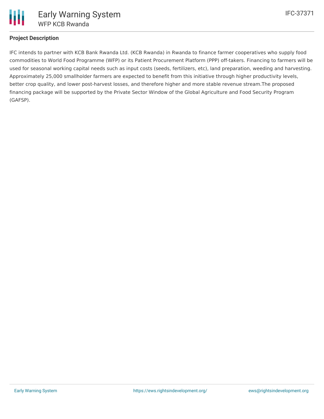

# **Project Description**

IFC intends to partner with KCB Bank Rwanda Ltd. (KCB Rwanda) in Rwanda to finance farmer cooperatives who supply food commodities to World Food Programme (WFP) or its Patient Procurement Platform (PPP) off-takers. Financing to farmers will be used for seasonal working capital needs such as input costs (seeds, fertilizers, etc), land preparation, weeding and harvesting. Approximately 25,000 smallholder farmers are expected to benefit from this initiative through higher productivity levels, better crop quality, and lower post-harvest losses, and therefore higher and more stable revenue stream.The proposed financing package will be supported by the Private Sector Window of the Global Agriculture and Food Security Program (GAFSP).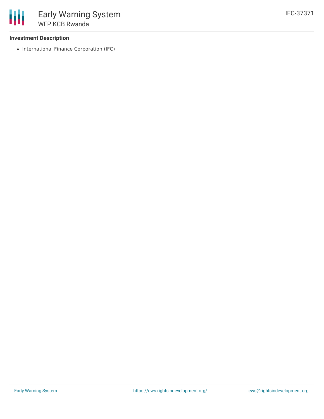### **Investment Description**

• International Finance Corporation (IFC)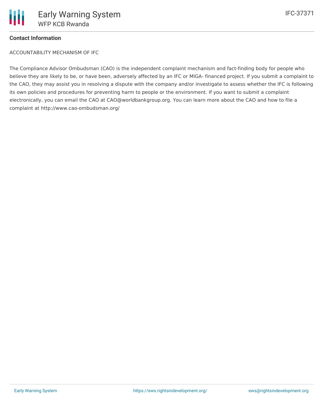### **Contact Information**

ACCOUNTABILITY MECHANISM OF IFC

The Compliance Advisor Ombudsman (CAO) is the independent complaint mechanism and fact-finding body for people who believe they are likely to be, or have been, adversely affected by an IFC or MIGA- financed project. If you submit a complaint to the CAO, they may assist you in resolving a dispute with the company and/or investigate to assess whether the IFC is following its own policies and procedures for preventing harm to people or the environment. If you want to submit a complaint electronically, you can email the CAO at CAO@worldbankgroup.org. You can learn more about the CAO and how to file a complaint at http://www.cao-ombudsman.org/